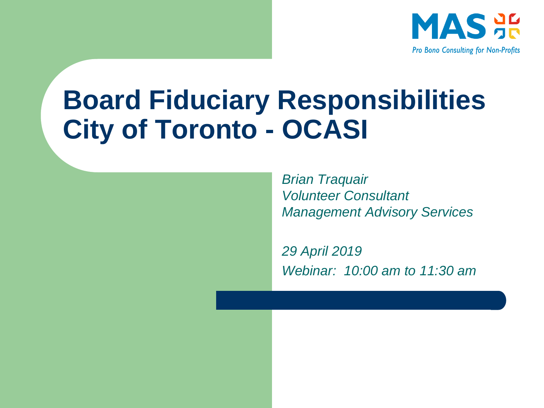

#### **Board Fiduciary Responsibilities City of Toronto - OCASI**

*Brian Traquair Volunteer Consultant Management Advisory Services*

*29 April 2019 Webinar: 10:00 am to 11:30 am*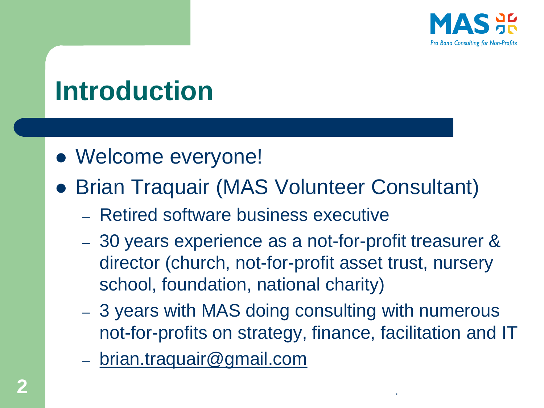

## **Introduction**

- ⚫ Welcome everyone!
- ⚫ Brian Traquair (MAS Volunteer Consultant)
	- Retired software business executive
	- 30 years experience as a not-for-profit treasurer & director (church, not-for-profit asset trust, nursery school, foundation, national charity)
	- 3 years with MAS doing consulting with numerous not-for-profits on strategy, finance, facilitation and IT
	- [brian.traquair@gmail.com](mailto:brian.traquair@gmail.com)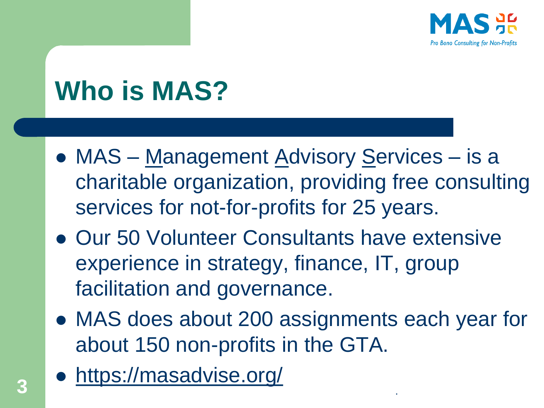

## **Who is MAS?**

- ⚫ MAS Management Advisory Services is a charitable organization, providing free consulting services for not-for-profits for 25 years.
- Our 50 Volunteer Consultants have extensive experience in strategy, finance, IT, group facilitation and governance.
- ⚫ MAS does about 200 assignments each year for about 150 non-profits in the GTA.
- ⚫ <https://masadvise.org/> **<sup>3</sup>** .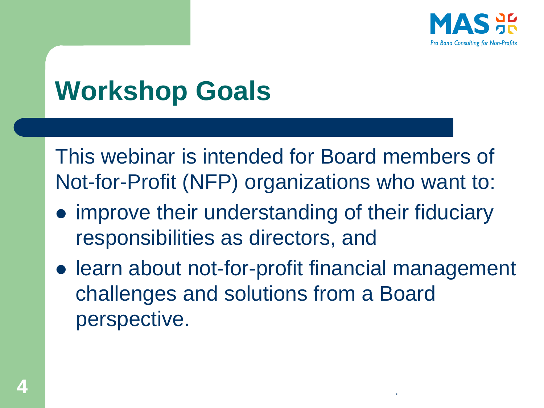

## **Workshop Goals**

This webinar is intended for Board members of Not-for-Profit (NFP) organizations who want to:

- ⚫ improve their understanding of their fiduciary responsibilities as directors, and
- learn about not-for-profit financial management challenges and solutions from a Board perspective.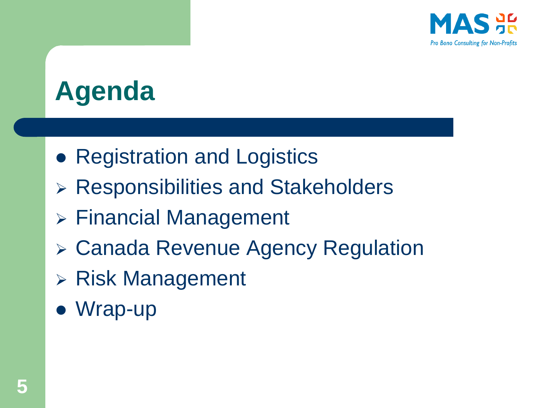

## **Agenda**

- Registration and Logistics
- ➢ Responsibilities and Stakeholders
- ➢ Financial Management
- ➢ Canada Revenue Agency Regulation
- ➢ Risk Management
- ⚫ Wrap-up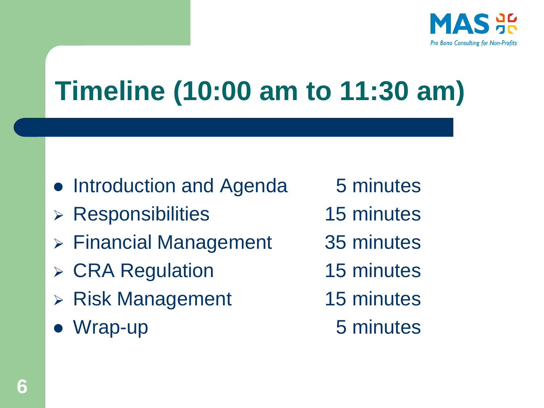

## **Timeline (10:00 am to 11:30 am)**

- Introduction and Agenda 5 minutes
- ➢ Responsibilities 15 minutes
- ➢ Financial Management 35 minutes
- ➢ CRA Regulation 15 minutes
- ➢ Risk Management 15 minutes
- Wrap-up 5 minutes
- 
- 
- 
- 
- -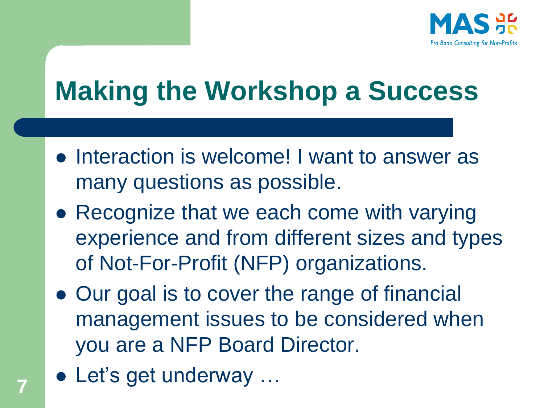

## **Making the Workshop a Success**

- ⚫ Interaction is welcome! I want to answer as many questions as possible.
- Recognize that we each come with varying experience and from different sizes and types of Not-For-Profit (NFP) organizations.
- ⚫ Our goal is to cover the range of financial management issues to be considered when you are a NFP Board Director.
- Let's get underway …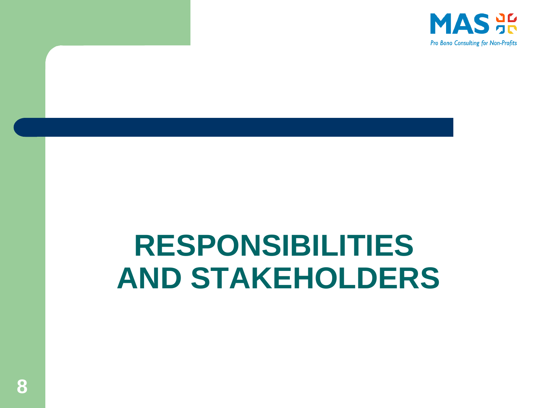

# **RESPONSIBILITIES AND STAKEHOLDERS**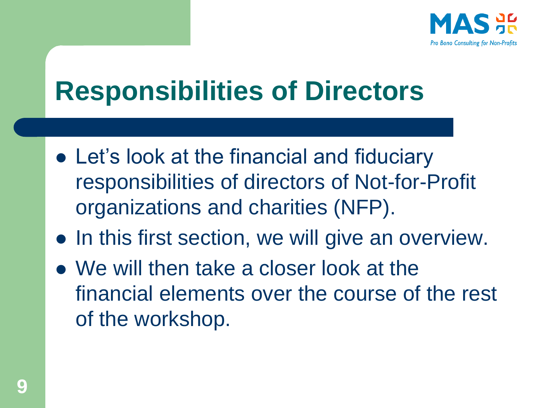

## **Responsibilities of Directors**

- Let's look at the financial and fiduciary responsibilities of directors of Not-for-Profit organizations and charities (NFP).
- In this first section, we will give an overview.
- ⚫ We will then take a closer look at the financial elements over the course of the rest of the workshop.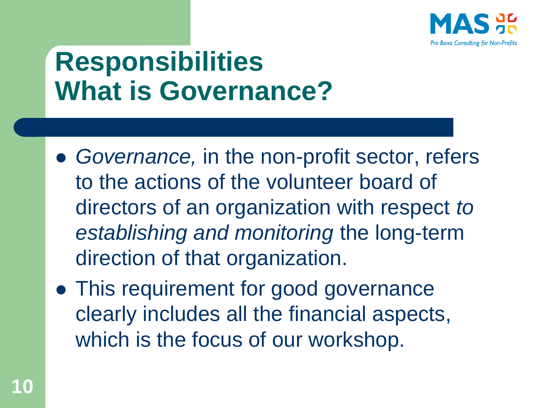

## **Responsibilities What is Governance?**

- ⚫ *Governance,* in the non-profit sector, refers to the actions of the volunteer board of directors of an organization with respect *to establishing and monitoring* the long-term direction of that organization.
- ⚫ This requirement for good governance clearly includes all the financial aspects, which is the focus of our workshop.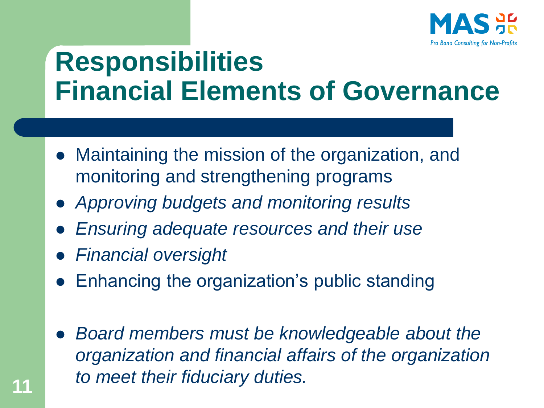

#### **Responsibilities Financial Elements of Governance**

- ⚫ Maintaining the mission of the organization, and monitoring and strengthening programs
- ⚫ *Approving budgets and monitoring results*
- ⚫ *Ensuring adequate resources and their use*
- ⚫ *Financial oversight*
- ⚫ Enhancing the organization's public standing
- ⚫ *Board members must be knowledgeable about the organization and financial affairs of the organization to meet their fiduciary duties.* **<sup>11</sup>**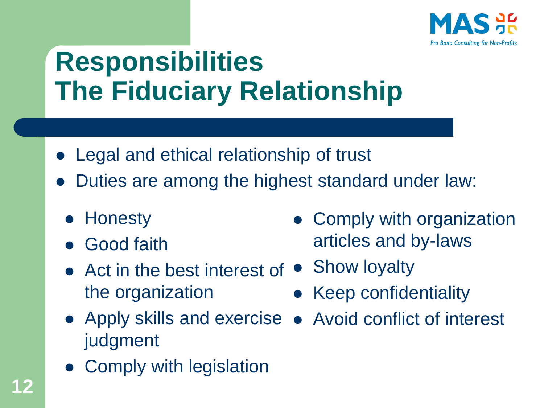

## **Responsibilities The Fiduciary Relationship**

- ⚫ Legal and ethical relationship of trust
- ⚫ Duties are among the highest standard under law:
	- ⚫ Honesty
	- ⚫ Good faith
	- Act in the best interest of Show loyalty the organization • Keep confidentiality
	- ⚫ Apply skills and exercise ⚫ Avoid conflict of interestjudgment
	- ⚫ Comply with legislation

• Comply with organization articles and by-laws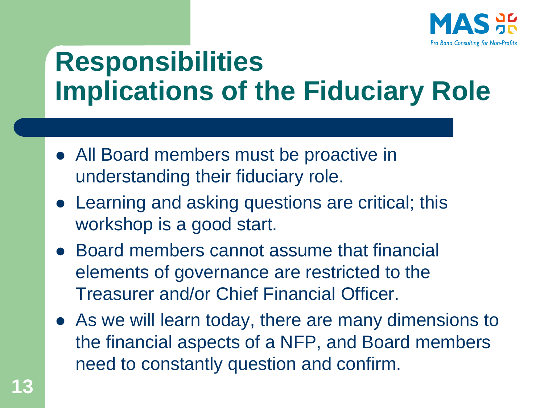

## **Responsibilities Implications of the Fiduciary Role**

- All Board members must be proactive in understanding their fiduciary role.
- ⚫ Learning and asking questions are critical; this workshop is a good start.
- Board members cannot assume that financial elements of governance are restricted to the Treasurer and/or Chief Financial Officer.
- ⚫ As we will learn today, there are many dimensions to the financial aspects of a NFP, and Board members need to constantly question and confirm.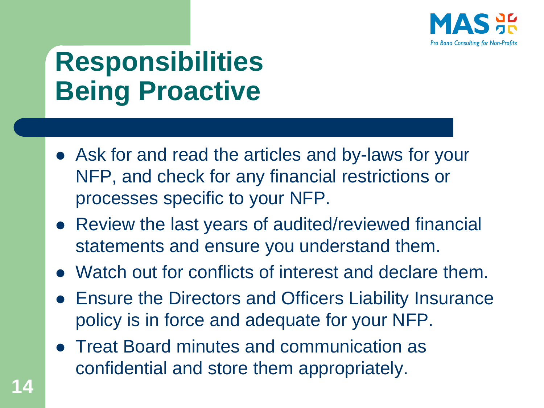

## **Responsibilities Being Proactive**

- ⚫ Ask for and read the articles and by-laws for your NFP, and check for any financial restrictions or processes specific to your NFP.
- Review the last years of audited/reviewed financial statements and ensure you understand them.
- ⚫ Watch out for conflicts of interest and declare them.
- ⚫ Ensure the Directors and Officers Liability Insurance policy is in force and adequate for your NFP.
- ⚫ Treat Board minutes and communication as confidential and store them appropriately.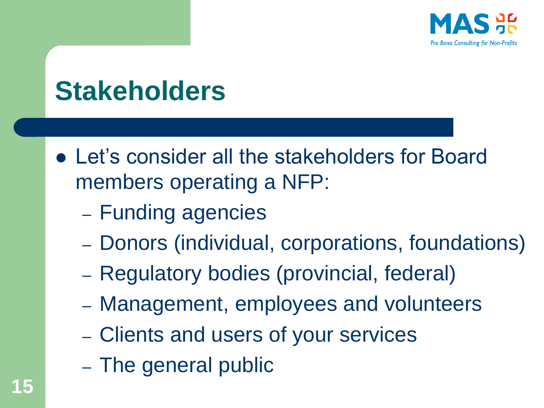

### **Stakeholders**

- ⚫ Let's consider all the stakeholders for Board members operating a NFP:
	- Funding agencies
	- Donors (individual, corporations, foundations)
	- Regulatory bodies (provincial, federal)
	- Management, employees and volunteers
	- Clients and users of your services
	- The general public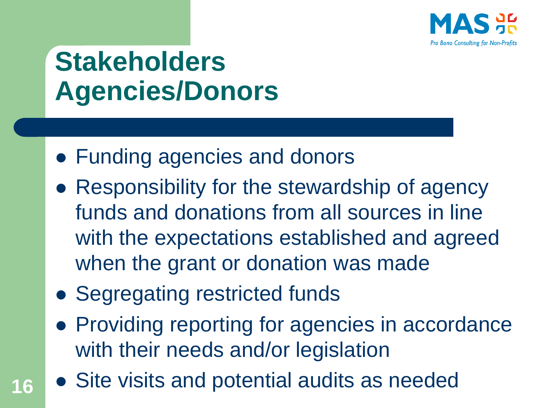

## **Stakeholders Agencies/Donors**

- ⚫ Funding agencies and donors
- Responsibility for the stewardship of agency funds and donations from all sources in line with the expectations established and agreed when the grant or donation was made
- Segregating restricted funds
- Providing reporting for agencies in accordance with their needs and/or legislation
- **16** Site visits and potential audits as needed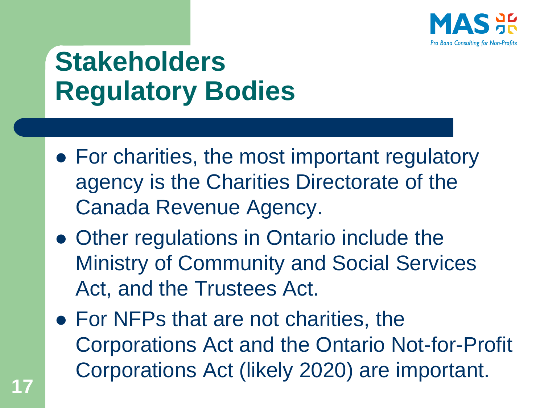

## **Stakeholders Regulatory Bodies**

- For charities, the most important regulatory agency is the Charities Directorate of the Canada Revenue Agency.
- ⚫ Other regulations in Ontario include the Ministry of Community and Social Services Act, and the Trustees Act.
- For NFPs that are not charities, the Corporations Act and the Ontario Not-for-Profit Corporations Act (likely 2020) are important.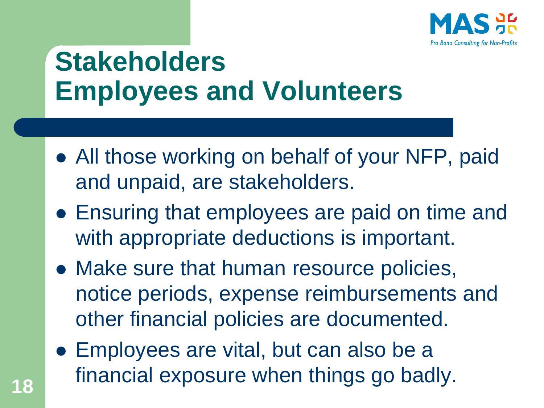

## **Stakeholders Employees and Volunteers**

- All those working on behalf of your NFP, paid and unpaid, are stakeholders.
- ⚫ Ensuring that employees are paid on time and with appropriate deductions is important.
- ⚫ Make sure that human resource policies, notice periods, expense reimbursements and other financial policies are documented.
- ⚫ Employees are vital, but can also be a financial exposure when things go badly. **<sup>18</sup>**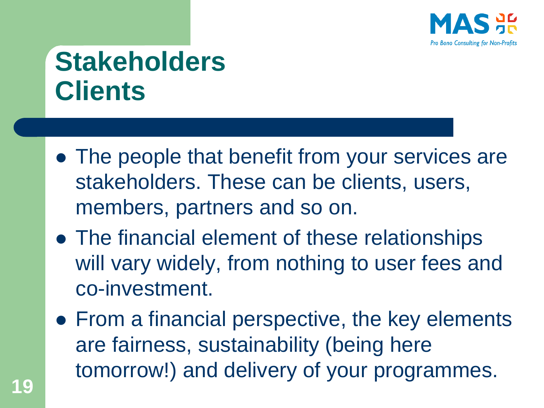

## **Stakeholders Clients**

- ⚫ The people that benefit from your services are stakeholders. These can be clients, users, members, partners and so on.
- ⚫ The financial element of these relationships will vary widely, from nothing to user fees and co-investment.
- From a financial perspective, the key elements are fairness, sustainability (being here tomorrow!) and delivery of your programmes.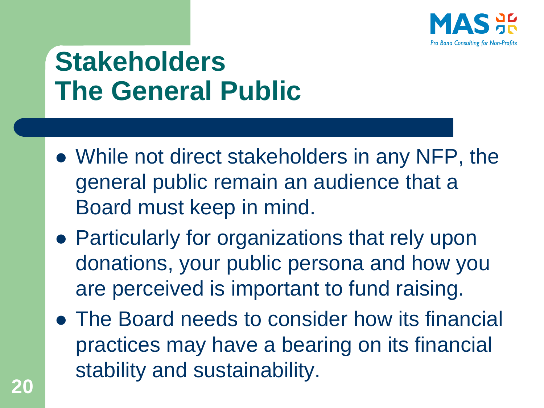

## **Stakeholders The General Public**

- ⚫ While not direct stakeholders in any NFP, the general public remain an audience that a Board must keep in mind.
- ⚫ Particularly for organizations that rely upon donations, your public persona and how you are perceived is important to fund raising.
- ⚫ The Board needs to consider how its financial practices may have a bearing on its financial stability and sustainability.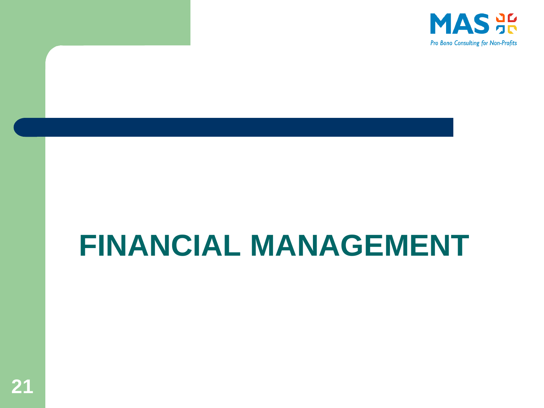

## **FINANCIAL MANAGEMENT**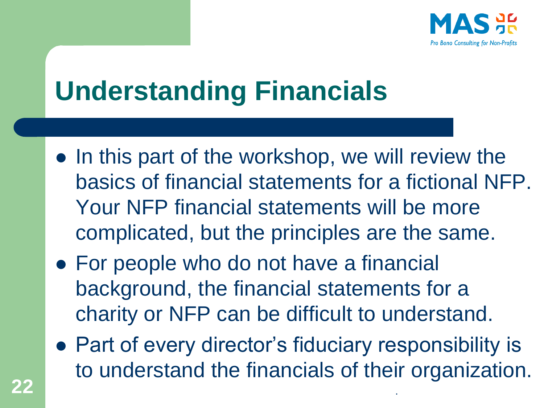

## **Understanding Financials**

- In this part of the workshop, we will review the basics of financial statements for a fictional NFP. Your NFP financial statements will be more complicated, but the principles are the same.
- For people who do not have a financial background, the financial statements for a charity or NFP can be difficult to understand.
- ⚫ Part of every director's fiduciary responsibility is to understand the financials of their organization. **22** .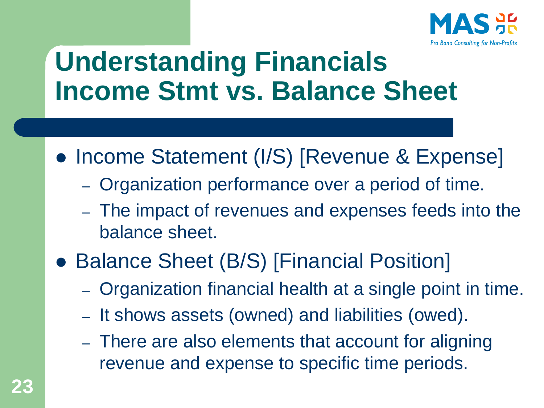

### **Understanding Financials Income Stmt vs. Balance Sheet**

- Income Statement (I/S) [Revenue & Expense]
	- Organization performance over a period of time.
	- The impact of revenues and expenses feeds into the balance sheet.
- Balance Sheet (B/S) [Financial Position]
	- Organization financial health at a single point in time.
	- It shows assets (owned) and liabilities (owed).
	- There are also elements that account for aligning revenue and expense to specific time periods.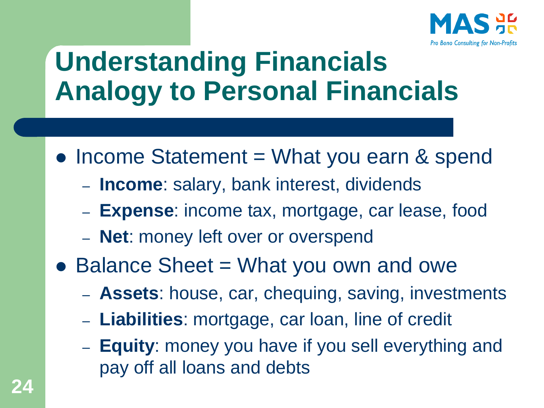

### **Understanding Financials Analogy to Personal Financials**

- Income Statement = What you earn & spend
	- **Income**: salary, bank interest, dividends
	- **Expense**: income tax, mortgage, car lease, food
	- **Net**: money left over or overspend
- Balance Sheet = What you own and owe
	- **Assets**: house, car, chequing, saving, investments
	- **Liabilities**: mortgage, car loan, line of credit
	- **Equity**: money you have if you sell everything and pay off all loans and debts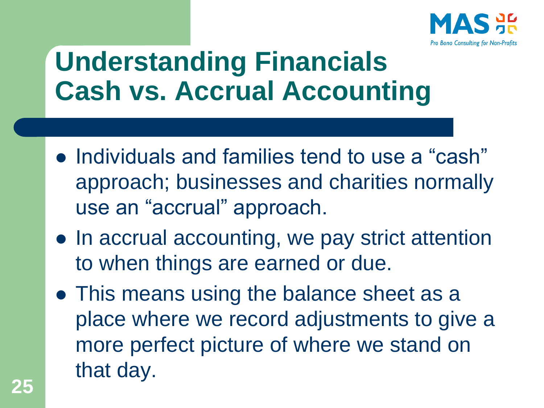

### **Understanding Financials Cash vs. Accrual Accounting**

- ⚫ Individuals and families tend to use a "cash" approach; businesses and charities normally use an "accrual" approach.
- In accrual accounting, we pay strict attention to when things are earned or due.
- ⚫ This means using the balance sheet as a place where we record adjustments to give a more perfect picture of where we stand on that day.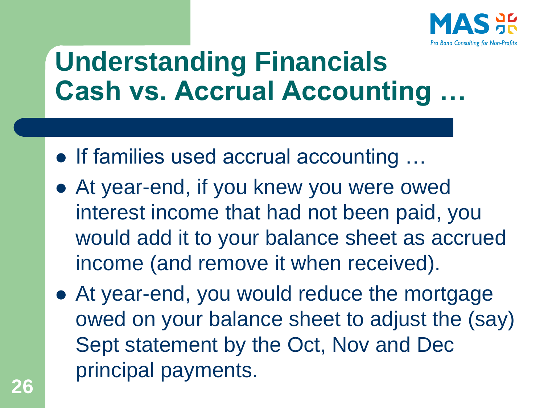

### **Understanding Financials Cash vs. Accrual Accounting**

- ⚫ If families used accrual accounting …
- ⚫ At year-end, if you knew you were owed interest income that had not been paid, you would add it to your balance sheet as accrued income (and remove it when received).
- ⚫ At year-end, you would reduce the mortgage owed on your balance sheet to adjust the (say) Sept statement by the Oct, Nov and Dec principal payments.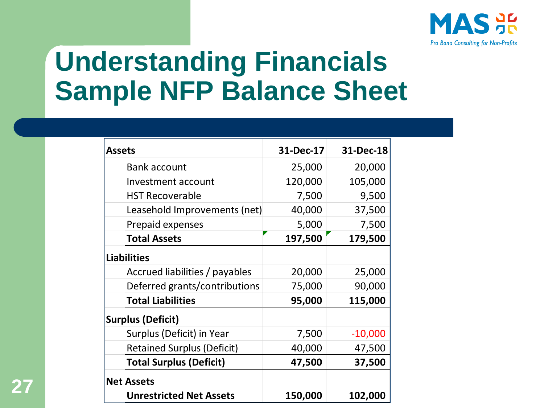

#### **Understanding Financials Sample NFP Balance Sheet**

| <b>Assets</b>                     | 31-Dec-17 | 31-Dec-18 |
|-----------------------------------|-----------|-----------|
| <b>Bank account</b>               | 25,000    | 20,000    |
| Investment account                | 120,000   | 105,000   |
| <b>HST Recoverable</b>            | 7,500     | 9,500     |
| Leasehold Improvements (net)      | 40,000    | 37,500    |
| Prepaid expenses                  | 5,000     | 7,500     |
| <b>Total Assets</b>               | 197,500   | 179,500   |
| <b>Liabilities</b>                |           |           |
| Accrued liabilities / payables    | 20,000    | 25,000    |
| Deferred grants/contributions     | 75,000    | 90,000    |
| <b>Total Liabilities</b>          | 95,000    | 115,000   |
| <b>Surplus (Deficit)</b>          |           |           |
| Surplus (Deficit) in Year         | 7,500     | $-10,000$ |
| <b>Retained Surplus (Deficit)</b> | 40,000    | 47,500    |
| <b>Total Surplus (Deficit)</b>    | 47,500    | 37,500    |
| <b>Net Assets</b>                 |           |           |
| <b>Unrestricted Net Assets</b>    | 150,000   | 102,000   |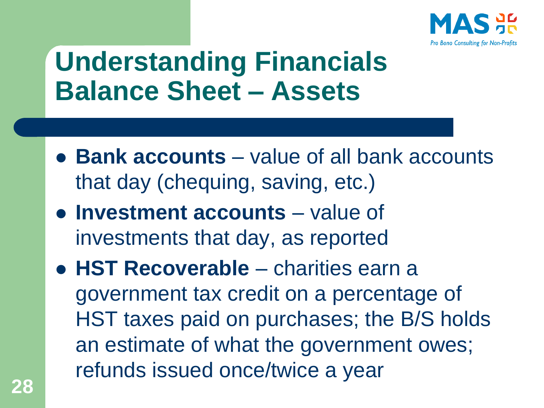

### **Understanding Financials Balance Sheet – Assets**

- ⚫ **Bank accounts**  value of all bank accounts that day (chequing, saving, etc.)
- ⚫ **Investment accounts** value of investments that day, as reported
- ⚫ **HST Recoverable**  charities earn a government tax credit on a percentage of HST taxes paid on purchases; the B/S holds an estimate of what the government owes; refunds issued once/twice a year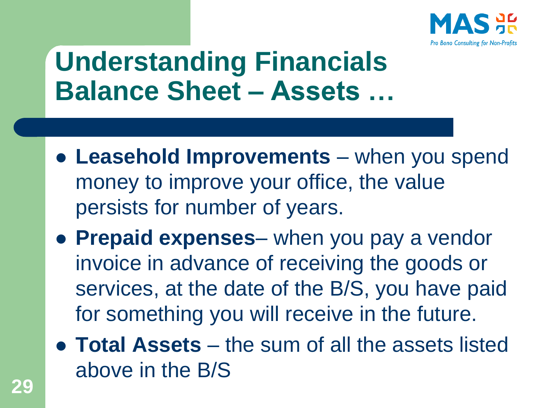

### **Understanding Financials Balance Sheet – Assets …**

- ⚫ **Leasehold Improvements**  when you spend money to improve your office, the value persists for number of years.
- ⚫ **Prepaid expenses** when you pay a vendor invoice in advance of receiving the goods or services, at the date of the B/S, you have paid for something you will receive in the future.
- ⚫ **Total Assets**  the sum of all the assets listed above in the B/S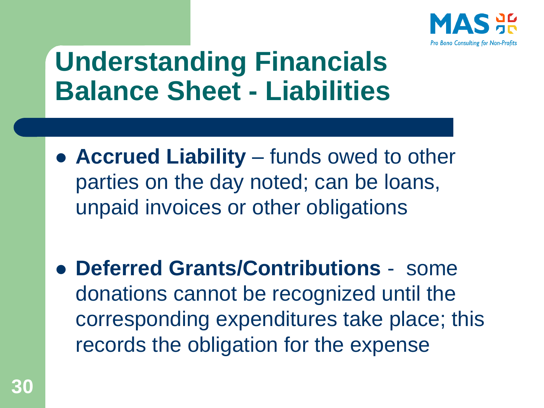

### **Understanding Financials Balance Sheet - Liabilities**

- ⚫ **Accrued Liability**  funds owed to other parties on the day noted; can be loans, unpaid invoices or other obligations
- ⚫ **Deferred Grants/Contributions**  some donations cannot be recognized until the corresponding expenditures take place; this records the obligation for the expense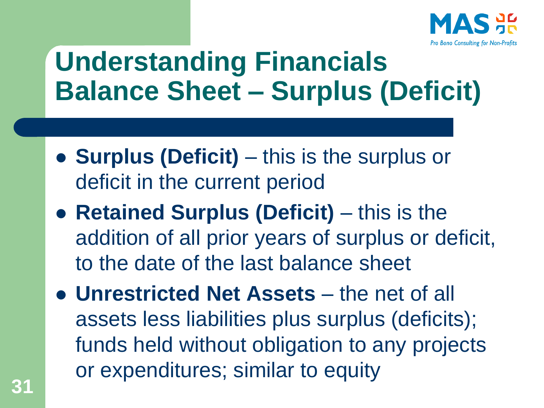

### **Understanding Financials Balance Sheet – Surplus (Deficit)**

- ⚫ **Surplus (Deficit)**  this is the surplus or deficit in the current period
- ⚫ **Retained Surplus (Deficit)**  this is the addition of all prior years of surplus or deficit, to the date of the last balance sheet
- ⚫ **Unrestricted Net Assets** the net of all assets less liabilities plus surplus (deficits); funds held without obligation to any projects or expenditures; similar to equity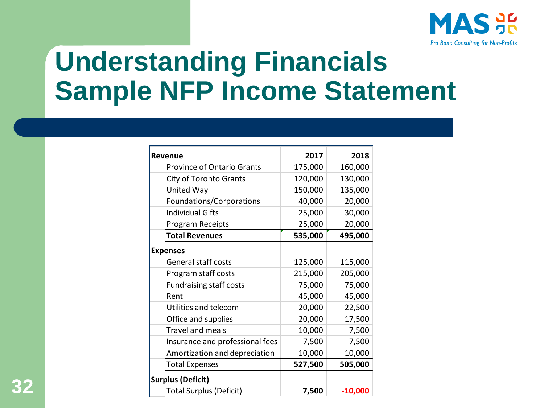

### **Understanding Financials Sample NFP Income Statement**

|                                   | 2017    | 2018      |
|-----------------------------------|---------|-----------|
| <b>Revenue</b>                    |         |           |
| <b>Province of Ontario Grants</b> | 175,000 | 160,000   |
| <b>City of Toronto Grants</b>     | 120,000 | 130,000   |
| United Way                        | 150,000 | 135,000   |
| Foundations/Corporations          | 40,000  | 20,000    |
| <b>Individual Gifts</b>           | 25,000  | 30,000    |
| Program Receipts                  | 25,000  | 20,000    |
| <b>Total Revenues</b>             | 535,000 | 495,000   |
| <b>Expenses</b>                   |         |           |
| <b>General staff costs</b>        | 125,000 | 115,000   |
| Program staff costs               | 215,000 | 205,000   |
| <b>Fundraising staff costs</b>    | 75,000  | 75,000    |
| Rent                              | 45,000  | 45,000    |
| Utilities and telecom             | 20,000  | 22,500    |
| Office and supplies               | 20,000  | 17,500    |
| <b>Travel and meals</b>           | 10,000  | 7,500     |
| Insurance and professional fees   | 7,500   | 7,500     |
| Amortization and depreciation     | 10,000  | 10,000    |
| <b>Total Expenses</b>             | 527,500 | 505,000   |
| <b>Surplus (Deficit)</b>          |         |           |
| <b>Total Surplus (Deficit)</b>    | 7,500   | $-10,000$ |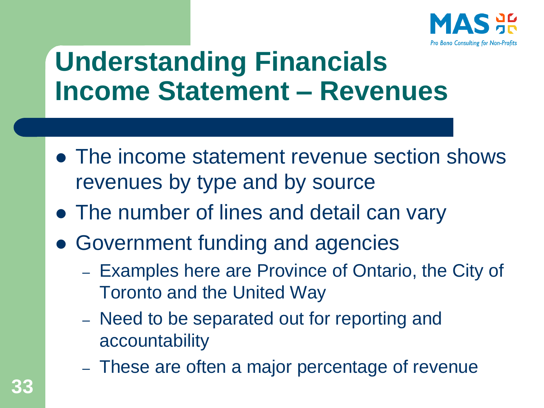

### **Understanding Financials Income Statement – Revenues**

- ⚫ The income statement revenue section shows revenues by type and by source
- ⚫ The number of lines and detail can vary
- Government funding and agencies
	- Examples here are Province of Ontario, the City of Toronto and the United Way
	- Need to be separated out for reporting and accountability
	- These are often a major percentage of revenue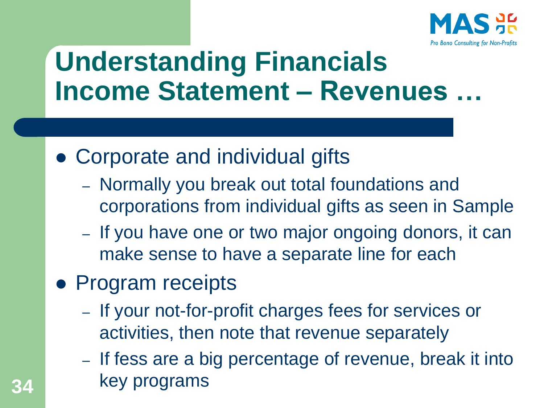

### **Understanding Financials Income Statement – Revenues …**

- ⚫ Corporate and individual gifts
	- Normally you break out total foundations and corporations from individual gifts as seen in Sample
	- If you have one or two major ongoing donors, it can make sense to have a separate line for each
- ⚫ Program receipts
	- If your not-for-profit charges fees for services or activities, then note that revenue separately
	- If fess are a big percentage of revenue, break it into key programs **34**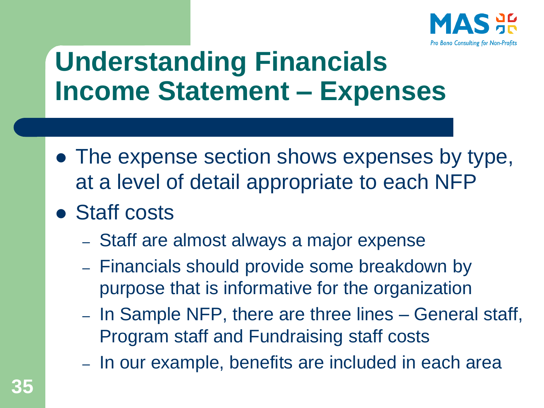

### **Understanding Financials Income Statement – Expenses**

- The expense section shows expenses by type, at a level of detail appropriate to each NFP
- ⚫ Staff costs
	- Staff are almost always a major expense
	- Financials should provide some breakdown by purpose that is informative for the organization
	- In Sample NFP, there are three lines General staff, Program staff and Fundraising staff costs
	- In our example, benefits are included in each area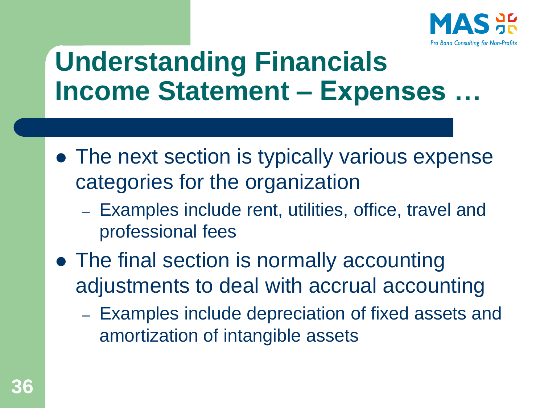

### **Understanding Financials Income Statement – Expenses …**

- The next section is typically various expense categories for the organization
	- Examples include rent, utilities, office, travel and professional fees
- ⚫ The final section is normally accounting adjustments to deal with accrual accounting
	- Examples include depreciation of fixed assets and amortization of intangible assets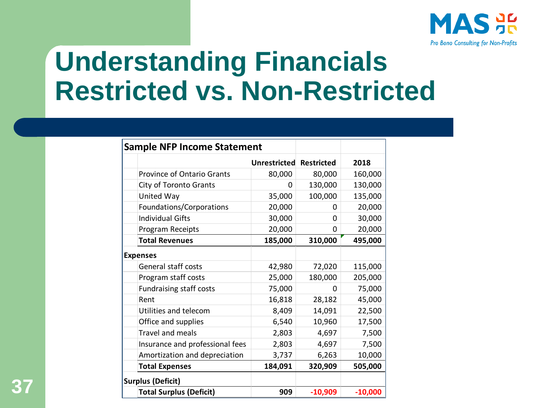

#### **Understanding Financials Restricted vs. Non-Restricted**

| <b>Sample NFP Income Statement</b> |              |                   |           |
|------------------------------------|--------------|-------------------|-----------|
|                                    | Unrestricted | <b>Restricted</b> | 2018      |
| <b>Province of Ontario Grants</b>  | 80,000       | 80,000            | 160,000   |
| <b>City of Toronto Grants</b>      | 0            | 130,000           | 130,000   |
| United Way                         | 35,000       | 100,000           | 135,000   |
| Foundations/Corporations           | 20,000       | 0                 | 20,000    |
| <b>Individual Gifts</b>            | 30,000       | 0                 | 30,000    |
| Program Receipts                   | 20,000       | 0                 | 20,000    |
| <b>Total Revenues</b>              | 185,000      | 310,000           | 495,000   |
| <b>Expenses</b>                    |              |                   |           |
| <b>General staff costs</b>         | 42,980       | 72,020            | 115,000   |
| Program staff costs                | 25,000       | 180,000           | 205,000   |
| <b>Fundraising staff costs</b>     | 75,000       | 0                 | 75,000    |
| Rent                               | 16,818       | 28,182            | 45,000    |
| Utilities and telecom              | 8,409        | 14,091            | 22,500    |
| Office and supplies                | 6,540        | 10,960            | 17,500    |
| Travel and meals                   | 2,803        | 4,697             | 7,500     |
| Insurance and professional fees    | 2,803        | 4,697             | 7,500     |
| Amortization and depreciation      | 3,737        | 6,263             | 10,000    |
| <b>Total Expenses</b>              | 184,091      | 320,909           | 505,000   |
| <b>Surplus (Deficit)</b>           |              |                   |           |
| <b>Total Surplus (Deficit)</b>     | 909          | $-10,909$         | $-10,000$ |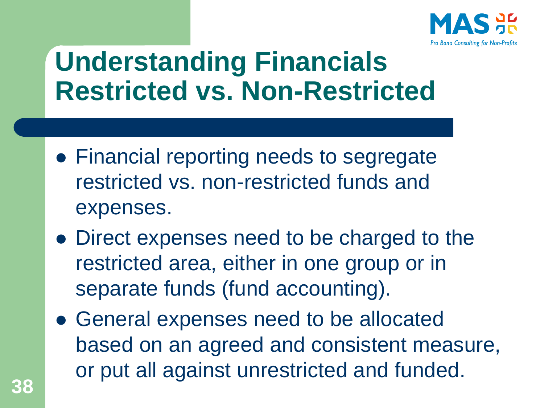

#### **Understanding Financials Restricted vs. Non-Restricted**

- Financial reporting needs to segregate restricted vs. non-restricted funds and expenses.
- ⚫ Direct expenses need to be charged to the restricted area, either in one group or in separate funds (fund accounting).
- ⚫ General expenses need to be allocated based on an agreed and consistent measure, or put all against unrestricted and funded.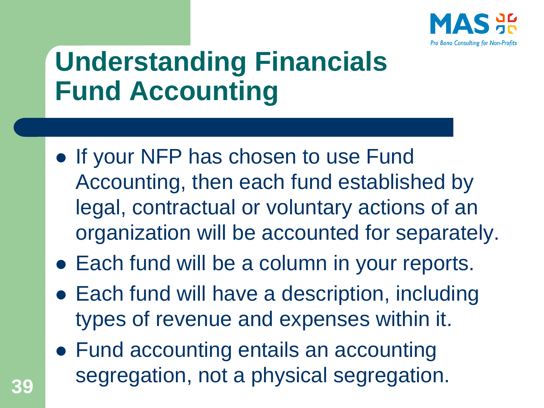

# **Understanding Financials Fund Accounting**

- If your NFP has chosen to use Fund Accounting, then each fund established by legal, contractual or voluntary actions of an organization will be accounted for separately.
- Each fund will be a column in your reports.
- Each fund will have a description, including types of revenue and expenses within it.
- Fund accounting entails an accounting segregation, not a physical segregation. **<sup>39</sup>**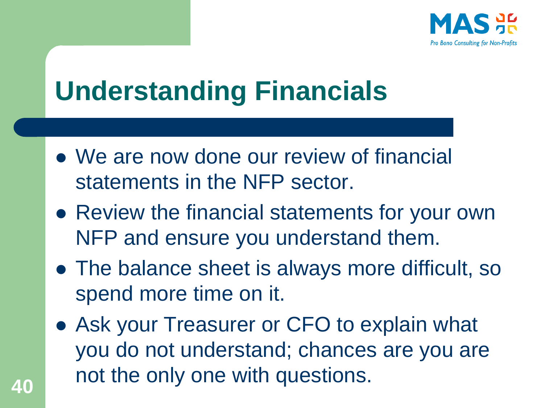

# **Understanding Financials**

- ⚫ We are now done our review of financial statements in the NFP sector.
- Review the financial statements for your own NFP and ensure you understand them.
- ⚫ The balance sheet is always more difficult, so spend more time on it.
- Ask your Treasurer or CFO to explain what you do not understand; chances are you are not the only one with questions. **<sup>40</sup>**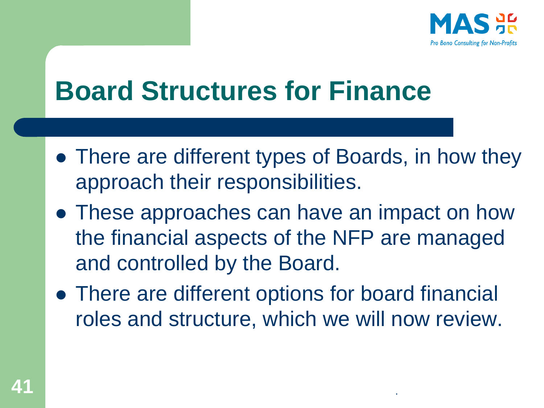

#### **Board Structures for Finance**

- There are different types of Boards, in how they approach their responsibilities.
- ⚫ These approaches can have an impact on how the financial aspects of the NFP are managed and controlled by the Board.
- ⚫ There are different options for board financial roles and structure, which we will now review.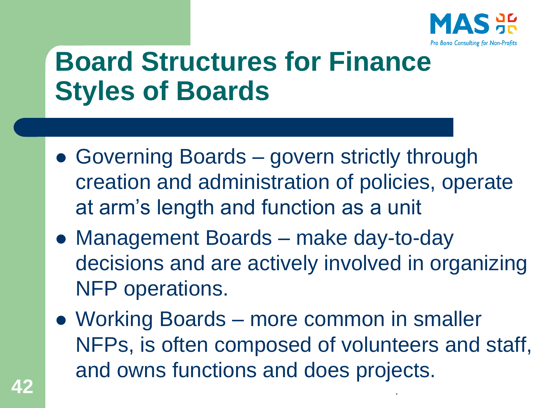

# **Board Structures for Finance Styles of Boards**

- Governing Boards govern strictly through creation and administration of policies, operate at arm's length and function as a unit
- ⚫ Management Boards make day-to-day decisions and are actively involved in organizing NFP operations.
- Working Boards more common in smaller NFPs, is often composed of volunteers and staff, and owns functions and does projects. **42** .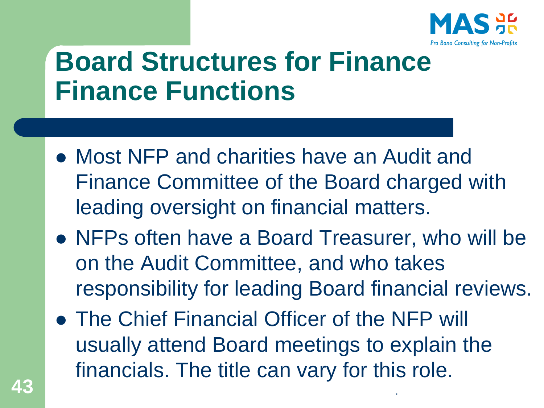

#### **Board Structures for Finance Finance Functions**

- ⚫ Most NFP and charities have an Audit and Finance Committee of the Board charged with leading oversight on financial matters.
- ⚫ NFPs often have a Board Treasurer, who will be on the Audit Committee, and who takes responsibility for leading Board financial reviews.
- The Chief Financial Officer of the NFP will usually attend Board meetings to explain the financials. The title can vary for this role. **43** .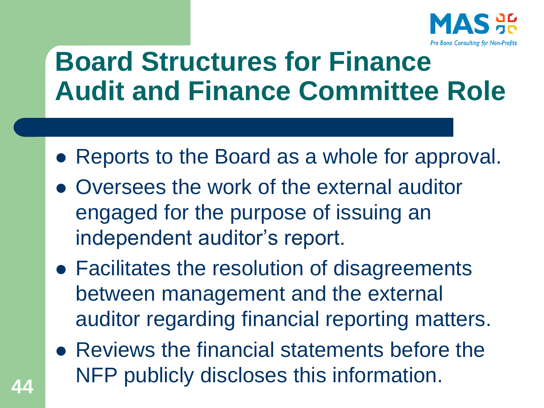

#### **Board Structures for Finance Audit and Finance Committee Role**

- Reports to the Board as a whole for approval.
- ⚫ Oversees the work of the external auditor engaged for the purpose of issuing an independent auditor's report.
- ⚫ Facilitates the resolution of disagreements between management and the external auditor regarding financial reporting matters.
- ⚫ Reviews the financial statements before the NFP publicly discloses this information. **<sup>44</sup>**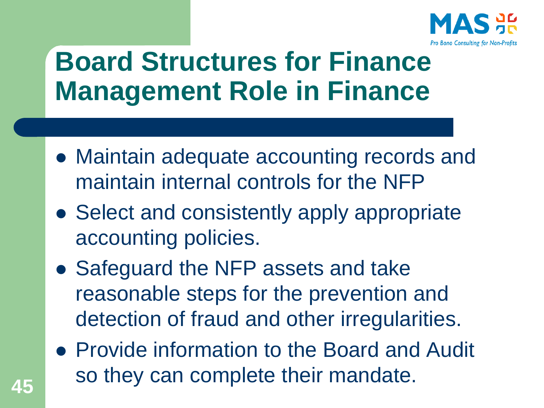

#### **Board Structures for Finance Management Role in Finance**

- ⚫ Maintain adequate accounting records and maintain internal controls for the NFP
- Select and consistently apply appropriate accounting policies.
- ⚫ Safeguard the NFP assets and take reasonable steps for the prevention and detection of fraud and other irregularities.
- ⚫ Provide information to the Board and Audit so they can complete their mandate. **<sup>45</sup>**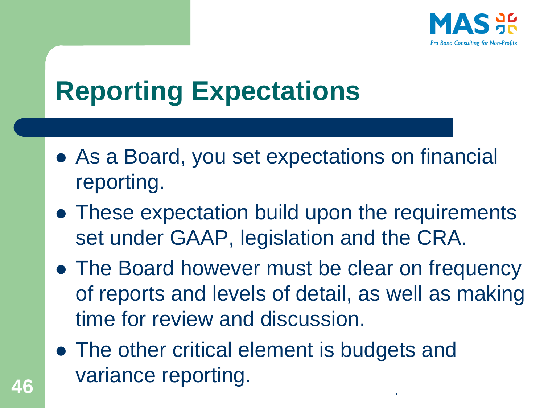

# **Reporting Expectations**

- As a Board, you set expectations on financial reporting.
- ⚫ These expectation build upon the requirements set under GAAP, legislation and the CRA.
- The Board however must be clear on frequency of reports and levels of detail, as well as making time for review and discussion.
- The other critical element is budgets and variance reporting. **<sup>46</sup>** .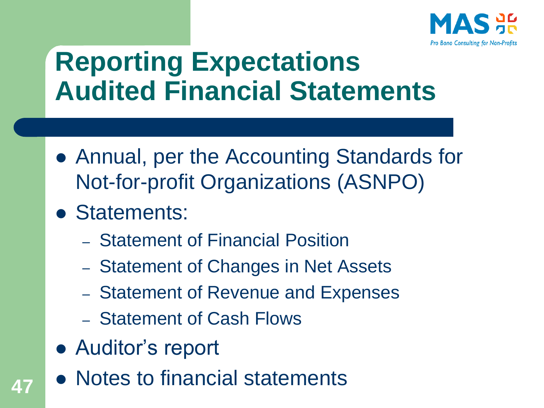

#### **Reporting Expectations Audited Financial Statements**

- ⚫ Annual, per the Accounting Standards for Not-for-profit Organizations (ASNPO)
- ⚫ Statements:
	- Statement of Financial Position
	- Statement of Changes in Net Assets
	- Statement of Revenue and Expenses
	- Statement of Cash Flows
- Auditor's report
- ⚫ Notes to financial statements **<sup>47</sup>**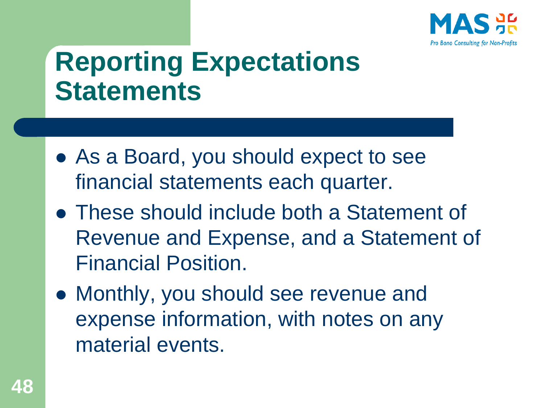

#### **Reporting Expectations Statements**

- As a Board, you should expect to see financial statements each quarter.
- ⚫ These should include both a Statement of Revenue and Expense, and a Statement of Financial Position.
- ⚫ Monthly, you should see revenue and expense information, with notes on any material events.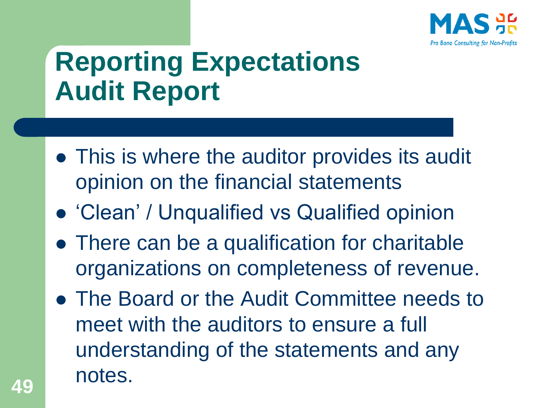

# **Reporting Expectations Audit Report**

- ⚫ This is where the auditor provides its audit opinion on the financial statements
- ⚫ 'Clean' / Unqualified vs Qualified opinion
- There can be a qualification for charitable organizations on completeness of revenue.
- ⚫ The Board or the Audit Committee needs to meet with the auditors to ensure a full understanding of the statements and any notes. **<sup>49</sup>**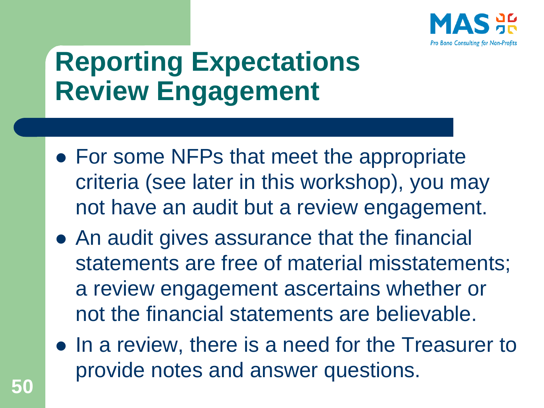

### **Reporting Expectations Review Engagement**

- For some NFPs that meet the appropriate criteria (see later in this workshop), you may not have an audit but a review engagement.
- ⚫ An audit gives assurance that the financial statements are free of material misstatements; a review engagement ascertains whether or not the financial statements are believable.
- ⚫ In a review, there is a need for the Treasurer to provide notes and answer questions.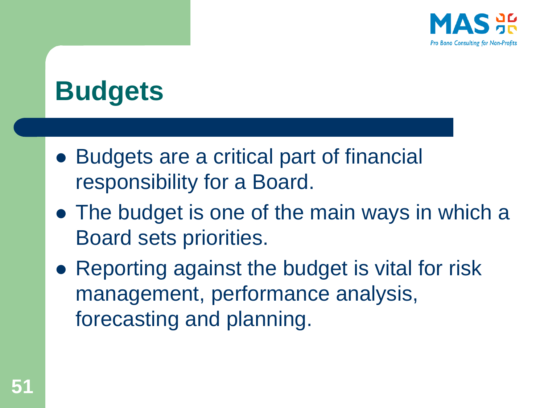

# **Budgets**

- ⚫ Budgets are a critical part of financial responsibility for a Board.
- ⚫ The budget is one of the main ways in which a Board sets priorities.
- Reporting against the budget is vital for risk management, performance analysis, forecasting and planning.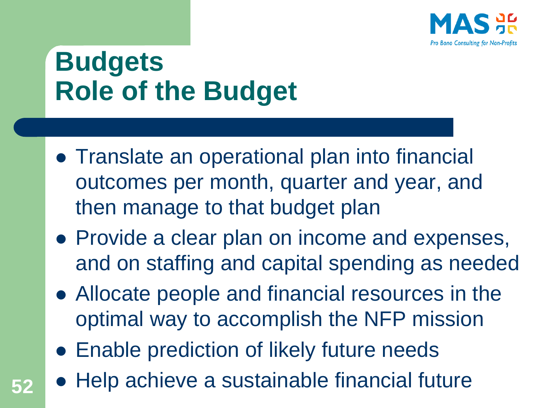

# **Budgets Role of the Budget**

- ⚫ Translate an operational plan into financial outcomes per month, quarter and year, and then manage to that budget plan
- ⚫ Provide a clear plan on income and expenses, and on staffing and capital spending as needed
- ⚫ Allocate people and financial resources in the optimal way to accomplish the NFP mission
- Enable prediction of likely future needs
- ⚫ Help achieve a sustainable financial future **52**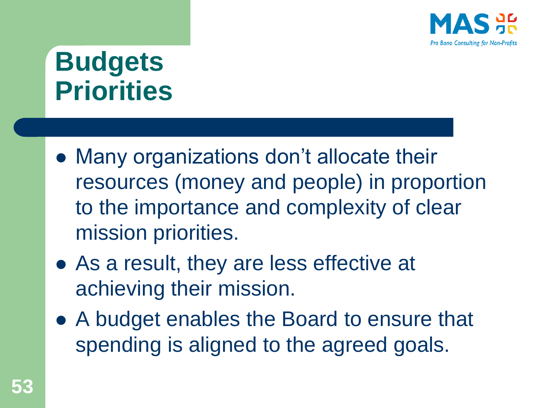

# **Budgets Priorities**

- ⚫ Many organizations don't allocate their resources (money and people) in proportion to the importance and complexity of clear mission priorities.
- ⚫ As a result, they are less effective at achieving their mission.
- ⚫ A budget enables the Board to ensure that spending is aligned to the agreed goals.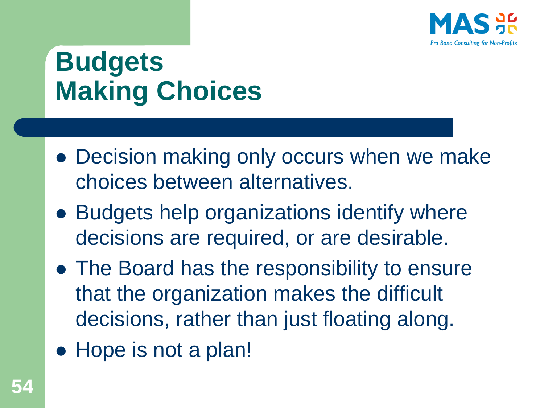

# **Budgets Making Choices**

- Decision making only occurs when we make choices between alternatives.
- Budgets help organizations identify where decisions are required, or are desirable.
- ⚫ The Board has the responsibility to ensure that the organization makes the difficult decisions, rather than just floating along.
- Hope is not a plan!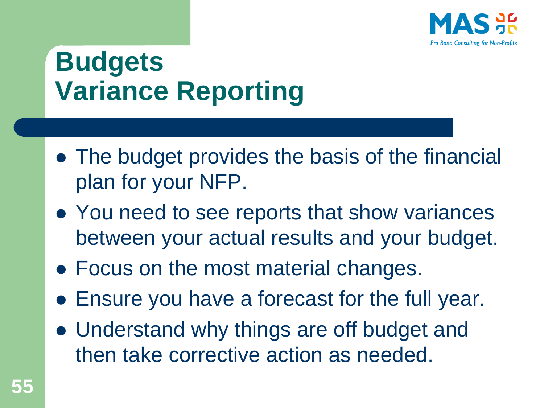

# **Budgets Variance Reporting**

- ⚫ The budget provides the basis of the financial plan for your NFP.
- You need to see reports that show variances between your actual results and your budget.
- Focus on the most material changes.
- ⚫ Ensure you have a forecast for the full year.
- ⚫ Understand why things are off budget and then take corrective action as needed.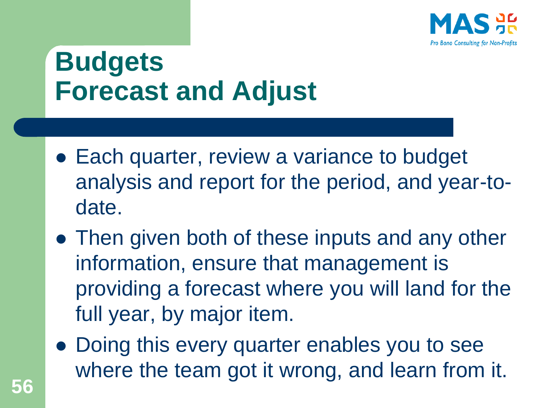

# **Budgets Forecast and Adjust**

- Each quarter, review a variance to budget analysis and report for the period, and year-todate.
- Then given both of these inputs and any other information, ensure that management is providing a forecast where you will land for the full year, by major item.
- ⚫ Doing this every quarter enables you to see where the team got it wrong, and learn from it.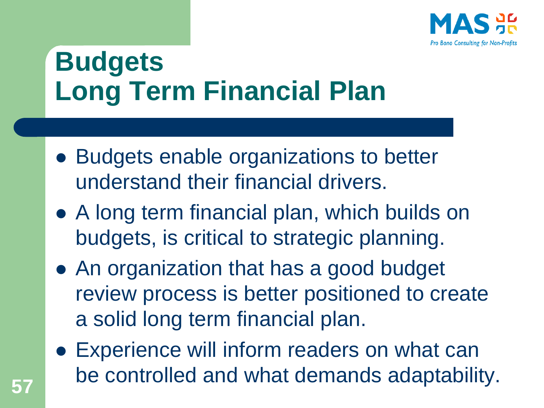

# **Budgets Long Term Financial Plan**

- Budgets enable organizations to better understand their financial drivers.
- ⚫ A long term financial plan, which builds on budgets, is critical to strategic planning.
- ⚫ An organization that has a good budget review process is better positioned to create a solid long term financial plan.
- Experience will inform readers on what can be controlled and what demands adaptability. **<sup>57</sup>**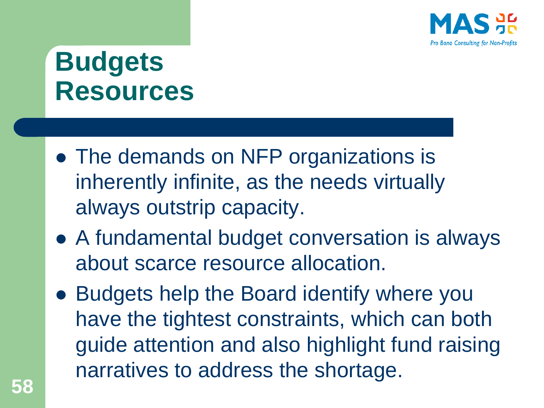

## **Budgets Resources**

- The demands on NFP organizations is inherently infinite, as the needs virtually always outstrip capacity.
- A fundamental budget conversation is always about scarce resource allocation.
- ⚫ Budgets help the Board identify where you have the tightest constraints, which can both guide attention and also highlight fund raising narratives to address the shortage.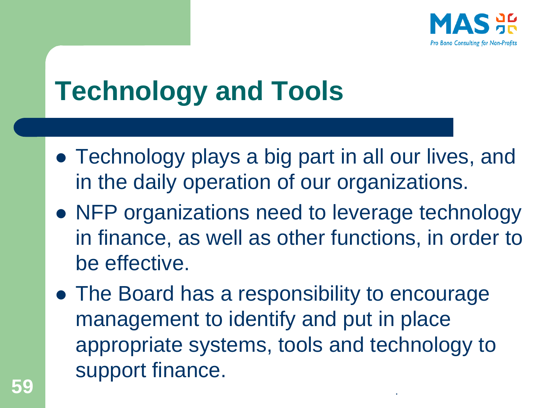

# **Technology and Tools**

- ⚫ Technology plays a big part in all our lives, and in the daily operation of our organizations.
- ⚫ NFP organizations need to leverage technology in finance, as well as other functions, in order to be effective.
- ⚫ The Board has a responsibility to encourage management to identify and put in place appropriate systems, tools and technology to support finance. **59** .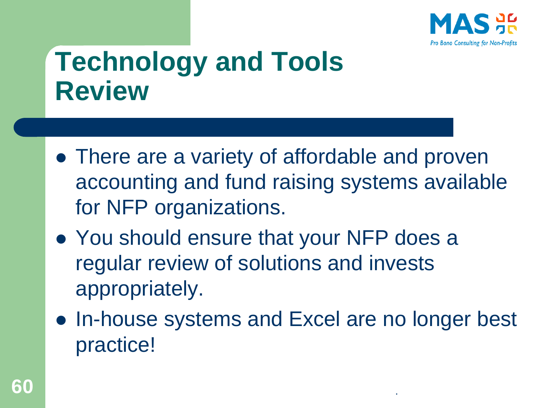

#### **Technology and Tools Review**

- There are a variety of affordable and proven accounting and fund raising systems available for NFP organizations.
- You should ensure that your NFP does a regular review of solutions and invests appropriately.
- ⚫ In-house systems and Excel are no longer best practice!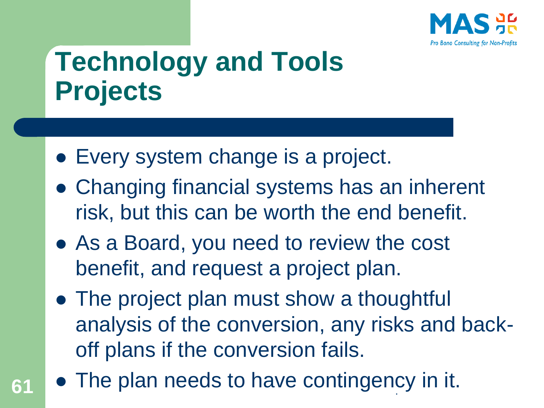

# **Technology and Tools Projects**

- Every system change is a project.
- ⚫ Changing financial systems has an inherent risk, but this can be worth the end benefit.
- As a Board, you need to review the cost benefit, and request a project plan.
- The project plan must show a thoughtful analysis of the conversion, any risks and backoff plans if the conversion fails.
- 61 The plan needs to have contingency in it.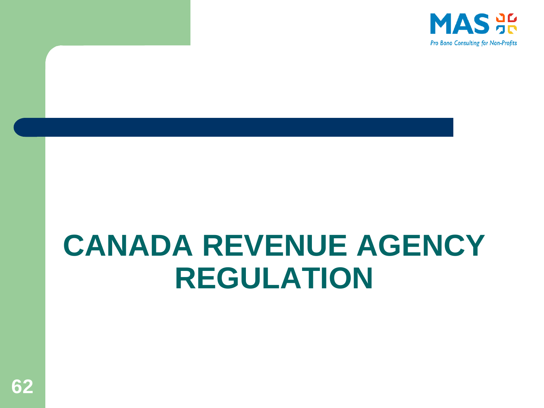

# **CANADA REVENUE AGENCY REGULATION**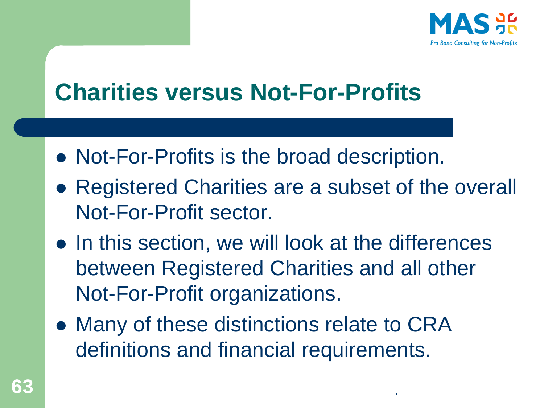

#### **Charities versus Not-For-Profits**

- ⚫ Not-For-Profits is the broad description.
- ⚫ Registered Charities are a subset of the overall Not-For-Profit sector.
- In this section, we will look at the differences between Registered Charities and all other Not-For-Profit organizations.
- ⚫ Many of these distinctions relate to CRA definitions and financial requirements.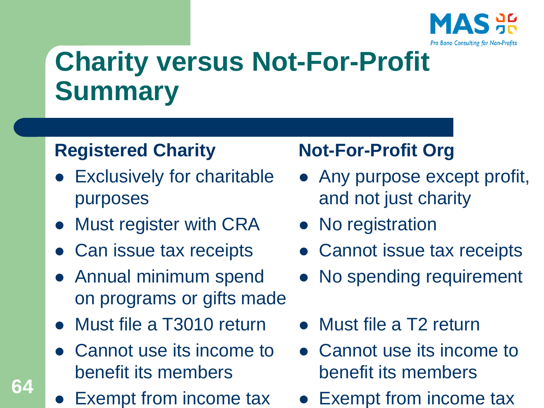

# **Charity versus Not-For-Profit Summary**

#### **Registered Charity**

- ⚫ Exclusively for charitable purposes
- Must register with CRA
- ⚫ Can issue tax receipts
- ⚫ Annual minimum spend on programs or gifts made
- ⚫ Must file a T3010 return
- ⚫ Cannot use its income to benefit its members
- Exempt from income tax

**64**

#### **Not-For-Profit Org**

- Any purpose except profit, and not just charity
- No registration
- Cannot issue tax receipts
- No spending requirement
- ⚫ Must file a T2 return
- Cannot use its income to benefit its members
- Exempt from income tax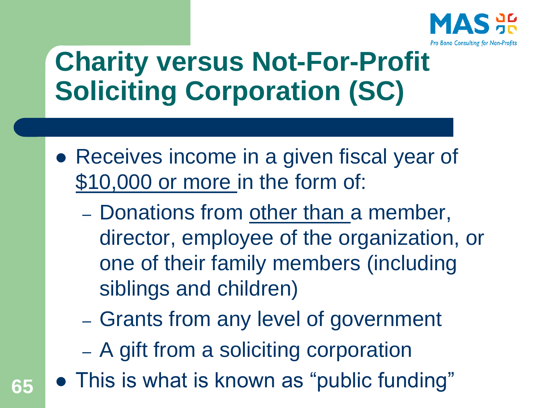

# **Charity versus Not-For-Profit Soliciting Corporation (SC)**

- Receives income in a given fiscal year of \$10,000 or more in the form of:
	- Donations from other than a member, director, employee of the organization, or one of their family members (including siblings and children)
	- Grants from any level of government
	- A gift from a soliciting corporation
- ⚫ This is what is known as "public funding" **65**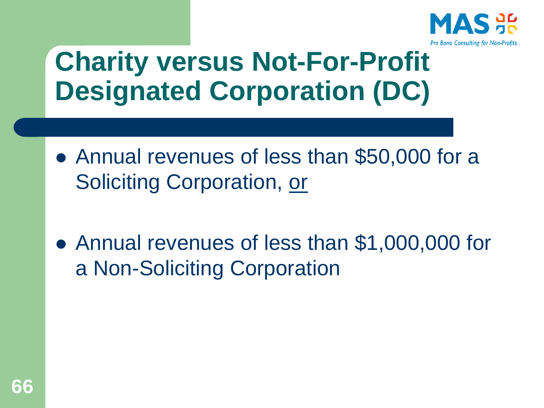

# **Charity versus Not-For-Profit Designated Corporation (DC)**

- ⚫ Annual revenues of less than \$50,000 for a Soliciting Corporation, or
- Annual revenues of less than \$1,000,000 for a Non-Soliciting Corporation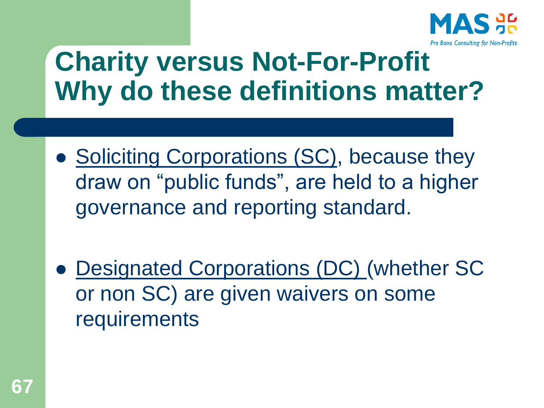

## **Charity versus Not-For-Profit Why do these definitions matter?**

- Soliciting Corporations (SC), because they draw on "public funds", are held to a higher governance and reporting standard.
- ⚫ Designated Corporations (DC) (whether SC or non SC) are given waivers on some requirements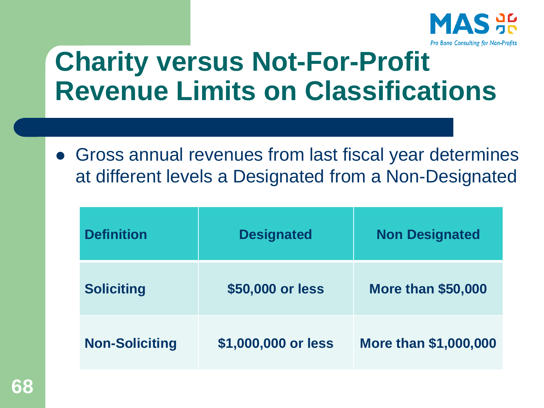

#### **Charity versus Not-For-Profit Revenue Limits on Classifications**

⚫ Gross annual revenues from last fiscal year determines at different levels a Designated from a Non-Designated

| <b>Definition</b>     | <b>Designated</b>   | <b>Non Designated</b>        |
|-----------------------|---------------------|------------------------------|
| <b>Soliciting</b>     | \$50,000 or less    | <b>More than \$50,000</b>    |
| <b>Non-Soliciting</b> | \$1,000,000 or less | <b>More than \$1,000,000</b> |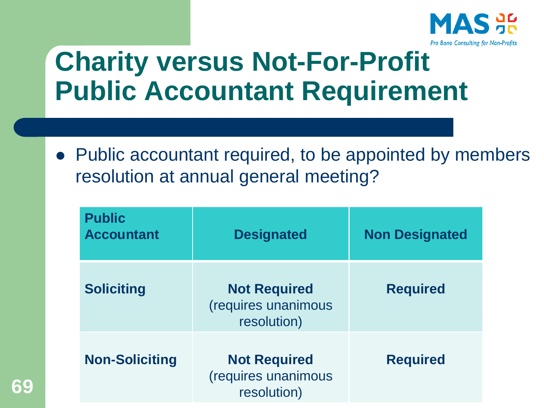

#### **Charity versus Not-For-Profit Public Accountant Requirement**

● Public accountant required, to be appointed by members resolution at annual general meeting?

| <b>Public</b><br><b>Accountant</b> | <b>Designated</b>                                         | <b>Non Designated</b> |
|------------------------------------|-----------------------------------------------------------|-----------------------|
| <b>Soliciting</b>                  | <b>Not Required</b><br>(requires unanimous<br>resolution) | <b>Required</b>       |
| <b>Non-Soliciting</b>              | <b>Not Required</b><br>(requires unanimous<br>resolution) | <b>Required</b>       |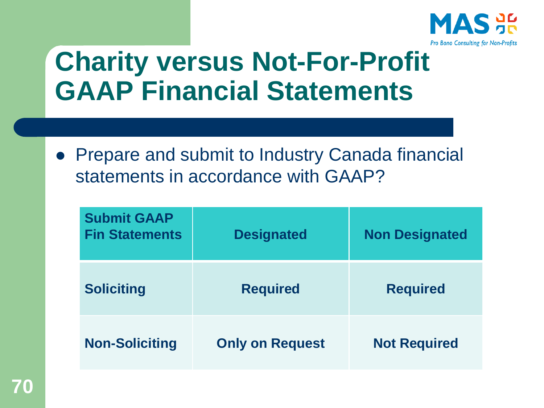

#### **Charity versus Not-For-Profit GAAP Financial Statements**

⚫ Prepare and submit to Industry Canada financial statements in accordance with GAAP?

| <b>Submit GAAP</b><br><b>Fin Statements</b> | <b>Designated</b>      | <b>Non Designated</b> |
|---------------------------------------------|------------------------|-----------------------|
| <b>Soliciting</b>                           | <b>Required</b>        | <b>Required</b>       |
| <b>Non-Soliciting</b>                       | <b>Only on Request</b> | <b>Not Required</b>   |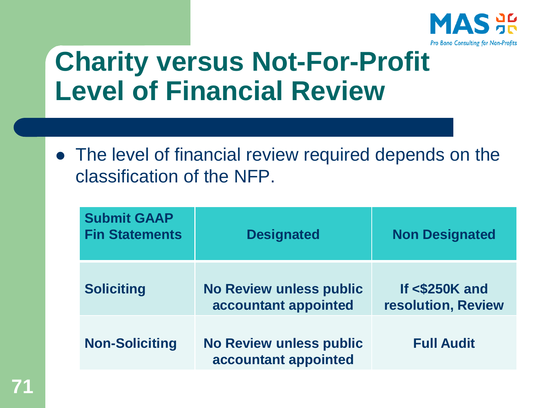

#### **Charity versus Not-For-Profit Level of Financial Review**

● The level of financial review required depends on the classification of the NFP.

| <b>Submit GAAP</b><br><b>Fin Statements</b> | <b>Designated</b>                                      | <b>Non Designated</b>                   |
|---------------------------------------------|--------------------------------------------------------|-----------------------------------------|
| <b>Soliciting</b>                           | <b>No Review unless public</b><br>accountant appointed | If $<$ \$250K and<br>resolution, Review |
| <b>Non-Soliciting</b>                       | <b>No Review unless public</b><br>accountant appointed | <b>Full Audit</b>                       |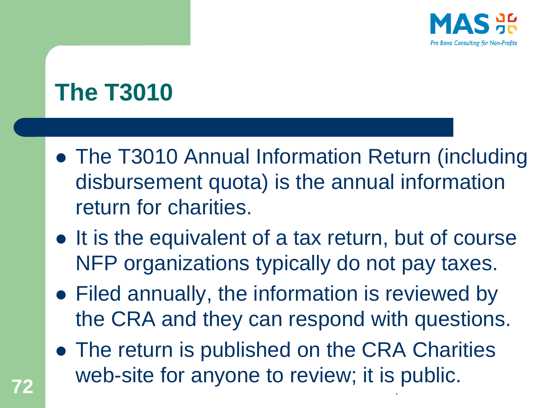

#### **The T3010**

- ⚫ The T3010 Annual Information Return (including disbursement quota) is the annual information return for charities.
- It is the equivalent of a tax return, but of course NFP organizations typically do not pay taxes.
- ⚫ Filed annually, the information is reviewed by the CRA and they can respond with questions.
- The return is published on the CRA Charities web-site for anyone to review; it is public.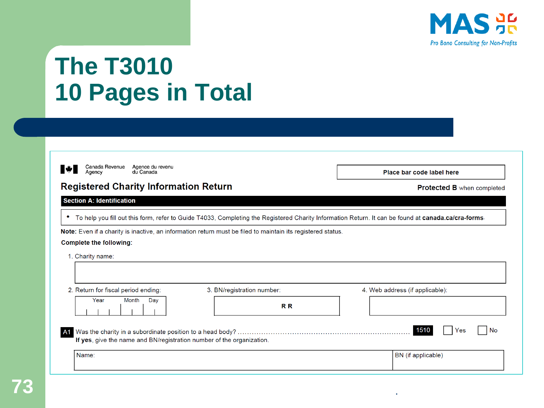

#### **The T3010 10 Pages in Total**

| ۰<br>____ | ×<br>× |
|-----------|--------|
|           |        |

Canada Revenue Agence du revenu<br>Agency du Canada

#### **Registered Charity Information Return**

Place bar code label here

Protected B when completed

#### **Section A: Identification**

. To help you fill out this form, refer to Guide T4033, Completing the Registered Charity Information Return. It can be found at canada.ca/cra-forms.

Note: Even if a charity is inactive, an information return must be filed to maintain its registered status.

#### **Complete the following:**

1. Charity name:

| 2. Return for fiscal period ending:                                                                                                                                         | 3. BN/registration number: |  | 4. Web address (if applicable): |  |
|-----------------------------------------------------------------------------------------------------------------------------------------------------------------------------|----------------------------|--|---------------------------------|--|
| <b>Month</b><br>Year<br>Dav                                                                                                                                                 | <b>RR</b>                  |  |                                 |  |
| 1510<br>No<br>Yes<br>A1 Was the charity in a subordinate position to a head body? …………………………………………<br>If yes, give the name and BN/registration number of the organization. |                            |  |                                 |  |
| Name:                                                                                                                                                                       |                            |  | BN (if applicable)              |  |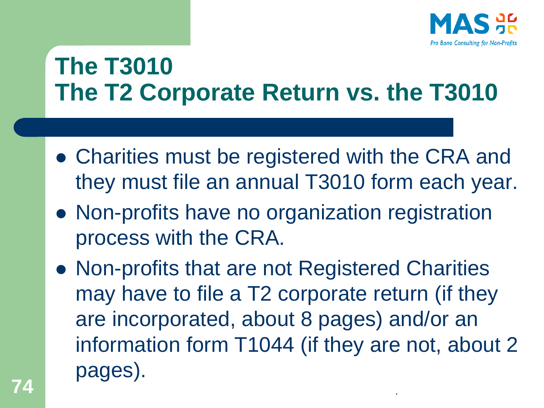

#### **The T3010 The T2 Corporate Return vs. the T3010**

- ⚫ Charities must be registered with the CRA and they must file an annual T3010 form each year.
- ⚫ Non-profits have no organization registration process with the CRA.
- ⚫ Non-profits that are not Registered Charities may have to file a T2 corporate return (if they are incorporated, about 8 pages) and/or an information form T1044 (if they are not, about 2 pages). **74** .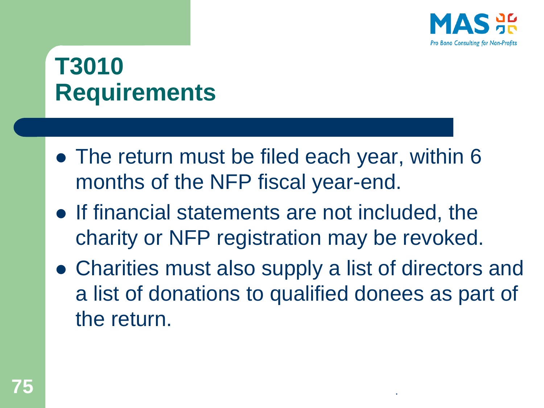

#### **T3010 Requirements**

- ⚫ The return must be filed each year, within 6 months of the NFP fiscal year-end.
- ⚫ If financial statements are not included, the charity or NFP registration may be revoked.
- ⚫ Charities must also supply a list of directors and a list of donations to qualified donees as part of the return.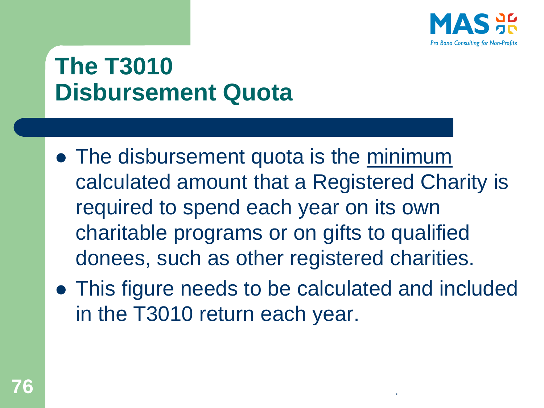

#### **The T3010 Disbursement Quota**

- ⚫ The disbursement quota is the minimum calculated amount that a Registered Charity is required to spend each year on its own charitable programs or on gifts to qualified donees, such as other registered charities.
- ⚫ This figure needs to be calculated and included in the T3010 return each year.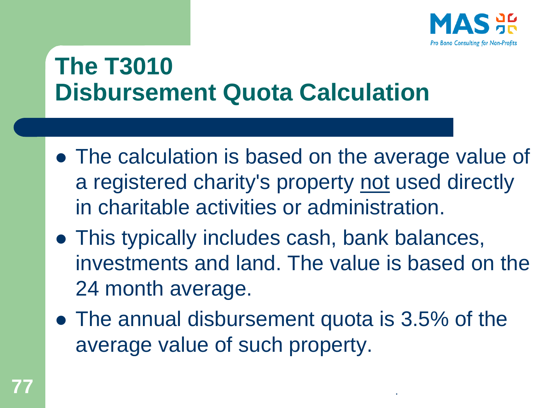

#### **The T3010 Disbursement Quota Calculation**

- ⚫ The calculation is based on the average value of a registered charity's property not used directly in charitable activities or administration.
- ⚫ This typically includes cash, bank balances, investments and land. The value is based on the 24 month average.
- The annual disbursement quota is 3.5% of the average value of such property.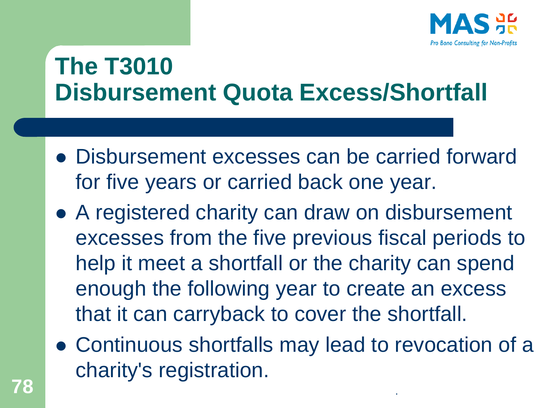

#### **The T3010 Disbursement Quota Excess/Shortfall**

- ⚫ Disbursement excesses can be carried forward for five years or carried back one year.
- ⚫ A registered charity can draw on disbursement excesses from the five previous fiscal periods to help it meet a shortfall or the charity can spend enough the following year to create an excess that it can carryback to cover the shortfall.
- ⚫ Continuous shortfalls may lead to revocation of a charity's registration. **78** .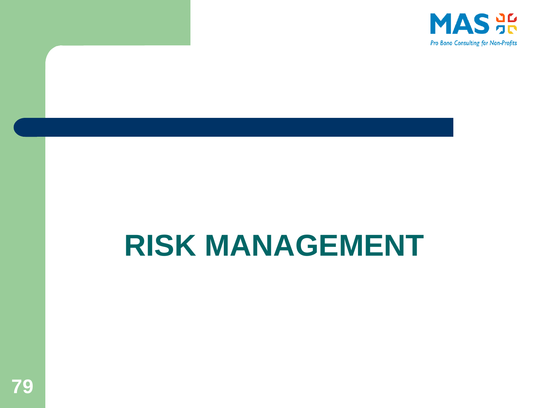

# **RISK MANAGEMENT**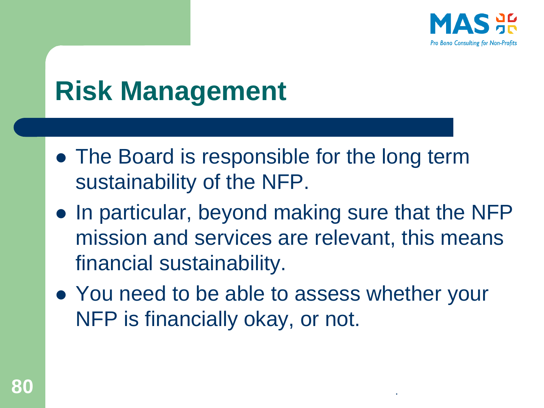

# **Risk Management**

- The Board is responsible for the long term sustainability of the NFP.
- ⚫ In particular, beyond making sure that the NFP mission and services are relevant, this means financial sustainability.
- You need to be able to assess whether your NFP is financially okay, or not.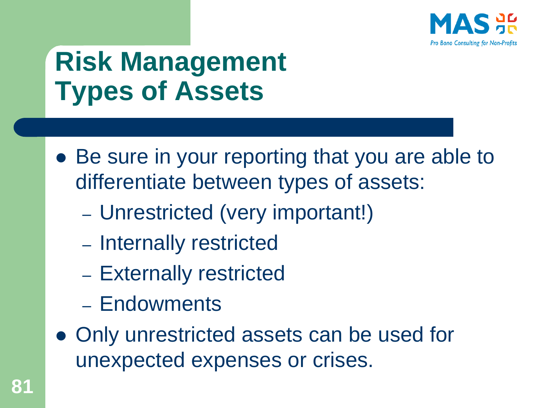

# **Risk Management Types of Assets**

- Be sure in your reporting that you are able to differentiate between types of assets:
	- Unrestricted (very important!)
	- Internally restricted
	- Externally restricted
	- Endowments
- ⚫ Only unrestricted assets can be used for unexpected expenses or crises.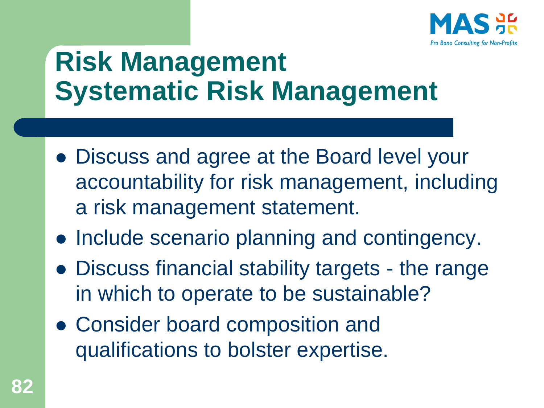

## **Risk Management Systematic Risk Management**

- ⚫ Discuss and agree at the Board level your accountability for risk management, including a risk management statement.
- ⚫ Include scenario planning and contingency.
- ⚫ Discuss financial stability targets the range in which to operate to be sustainable?
- ⚫ Consider board composition and qualifications to bolster expertise.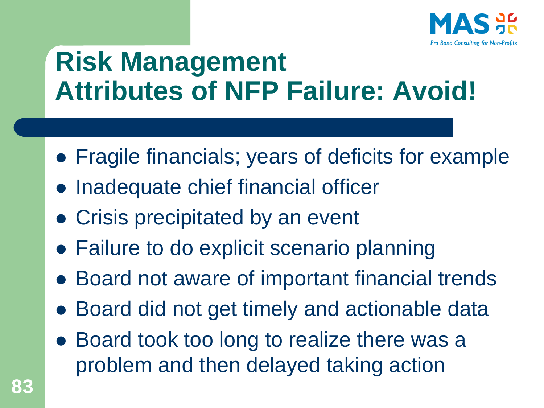

### **Risk Management Attributes of NFP Failure: Avoid!**

- ⚫ Fragile financials; years of deficits for example
- ⚫ Inadequate chief financial officer
- ⚫ Crisis precipitated by an event
- Failure to do explicit scenario planning
- Board not aware of important financial trends
- ⚫ Board did not get timely and actionable data
- ⚫ Board took too long to realize there was a problem and then delayed taking action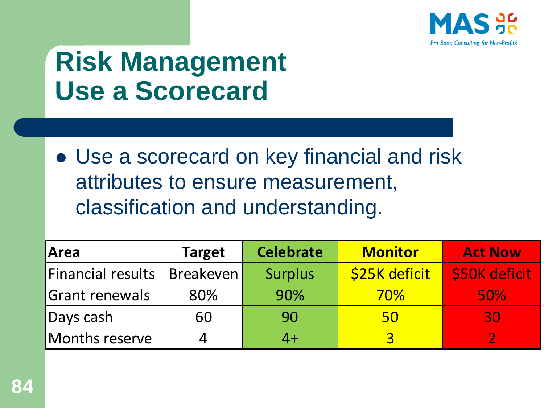

## **Risk Management Use a Scorecard**

⚫ Use a scorecard on key financial and risk attributes to ensure measurement, classification and understanding.

| Area                     | <b>Target</b> | <b>Celebrate</b> | <b>Monitor</b> | <b>Act Now</b> |
|--------------------------|---------------|------------------|----------------|----------------|
| <b>Financial results</b> | Breakeven     | <b>Surplus</b>   | \$25K deficit  | \$50K deficit  |
| <b>Grant renewals</b>    | 80%           | 90%              | <b>70%</b>     | <b>50%</b>     |
| Days cash                | 60            | 90               | 50             | 30             |
| Months reserve           | 4             |                  | 3              |                |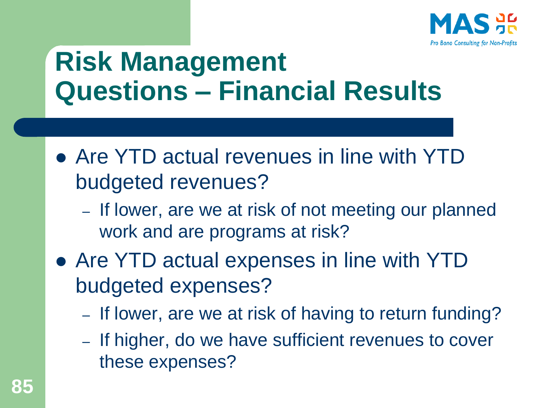

### **Risk Management Questions – Financial Results**

- ⚫ Are YTD actual revenues in line with YTD budgeted revenues?
	- If lower, are we at risk of not meeting our planned work and are programs at risk?
- ⚫ Are YTD actual expenses in line with YTD budgeted expenses?
	- If lower, are we at risk of having to return funding?
	- If higher, do we have sufficient revenues to cover these expenses?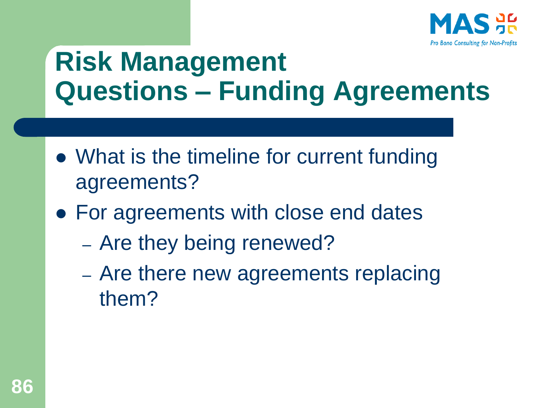

### **Risk Management Questions – Funding Agreements**

- ⚫ What is the timeline for current funding agreements?
- For agreements with close end dates
	- Are they being renewed?
	- Are there new agreements replacing them?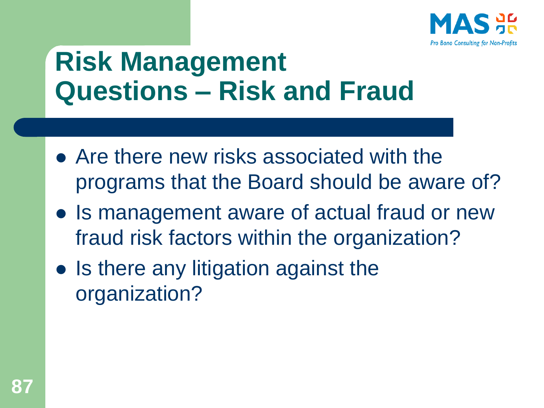

## **Risk Management Questions – Risk and Fraud**

- ⚫ Are there new risks associated with the programs that the Board should be aware of?
- Is management aware of actual fraud or new fraud risk factors within the organization?
- ⚫ Is there any litigation against the organization?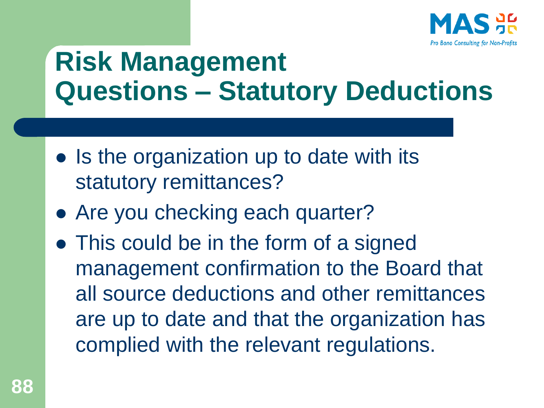

### **Risk Management Questions – Statutory Deductions**

- Is the organization up to date with its statutory remittances?
- Are you checking each quarter?
- ⚫ This could be in the form of a signed management confirmation to the Board that all source deductions and other remittances are up to date and that the organization has complied with the relevant regulations.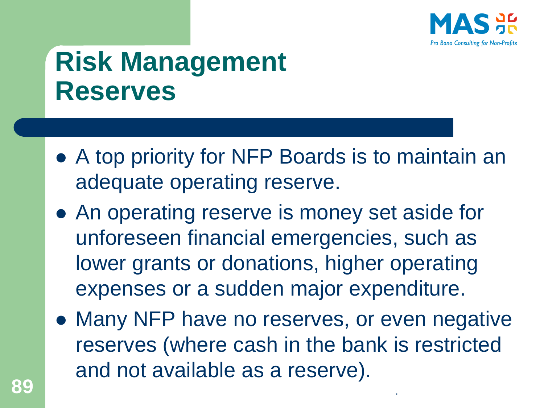

## **Risk Management Reserves**

- ⚫ A top priority for NFP Boards is to maintain an adequate operating reserve.
- ⚫ An operating reserve is money set aside for unforeseen financial emergencies, such as lower grants or donations, higher operating expenses or a sudden major expenditure.
- Many NFP have no reserves, or even negative reserves (where cash in the bank is restricted and not available as a reserve). **89** .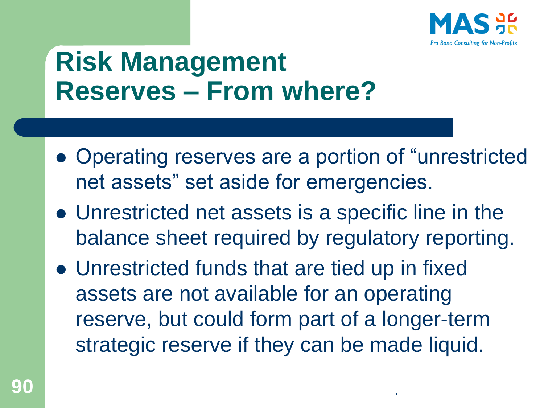

### **Risk Management Reserves – From where?**

- ⚫ Operating reserves are a portion of "unrestricted net assets" set aside for emergencies.
- ⚫ Unrestricted net assets is a specific line in the balance sheet required by regulatory reporting.
- ⚫ Unrestricted funds that are tied up in fixed assets are not available for an operating reserve, but could form part of a longer-term strategic reserve if they can be made liquid.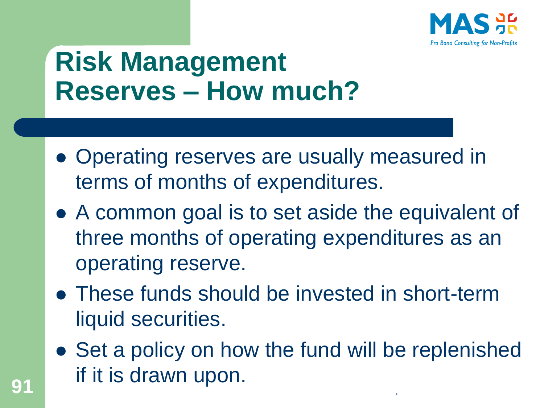

#### **Risk Management Reserves – How much?**

- ⚫ Operating reserves are usually measured in terms of months of expenditures.
- ⚫ A common goal is to set aside the equivalent of three months of operating expenditures as an operating reserve.
- ⚫ These funds should be invested in short-term liquid securities.
- Set a policy on how the fund will be replenished **91** if it is drawn upon.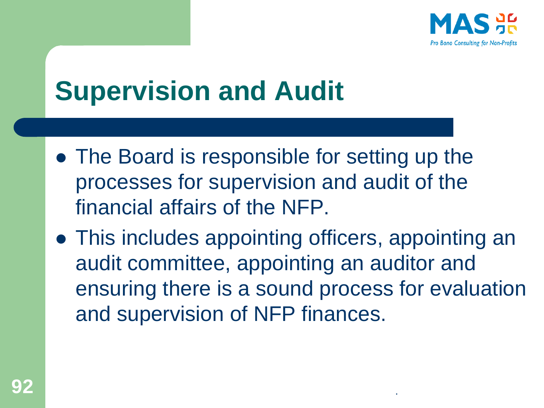

## **Supervision and Audit**

- ⚫ The Board is responsible for setting up the processes for supervision and audit of the financial affairs of the NFP.
- ⚫ This includes appointing officers, appointing an audit committee, appointing an auditor and ensuring there is a sound process for evaluation and supervision of NFP finances.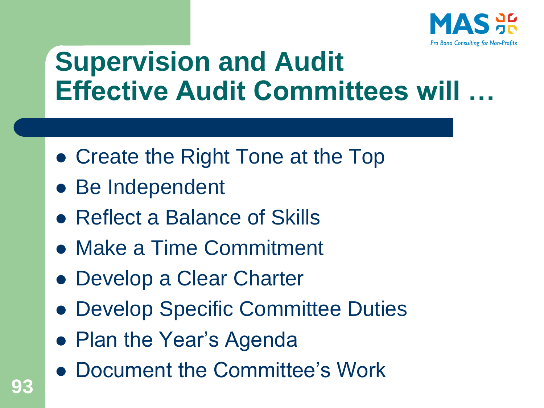

### **Supervision and Audit Effective Audit Committees will …**

- ⚫ Create the Right Tone at the Top
- Be Independent
- ⚫ Reflect a Balance of Skills
- ⚫ Make a Time Commitment
- ⚫ Develop a Clear Charter
- Develop Specific Committee Duties
- Plan the Year's Agenda
- ⚫ Document the Committee's Work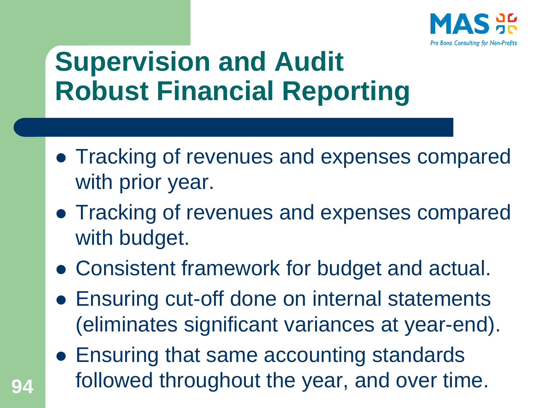

## **Supervision and Audit Robust Financial Reporting**

- ⚫ Tracking of revenues and expenses compared with prior year.
- ⚫ Tracking of revenues and expenses compared with budget.
- ⚫ Consistent framework for budget and actual.
- Ensuring cut-off done on internal statements (eliminates significant variances at year-end).
- Ensuring that same accounting standards followed throughout the year, and over time. **94**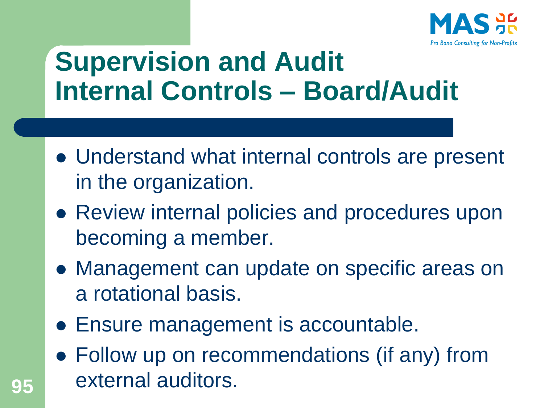

### **Supervision and Audit Internal Controls – Board/Audit**

- ⚫ Understand what internal controls are present in the organization.
- Review internal policies and procedures upon becoming a member.
- ⚫ Management can update on specific areas on a rotational basis.
- ⚫ Ensure management is accountable.
- Follow up on recommendations (if any) from external auditors. **95**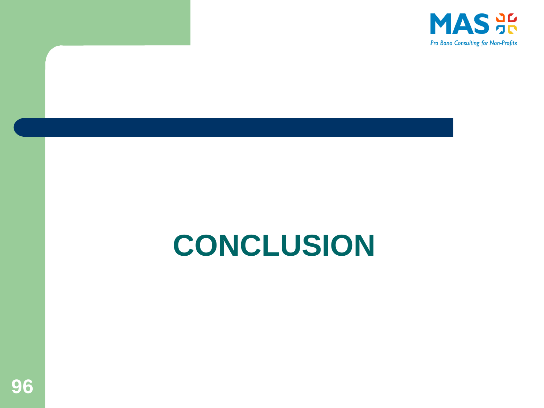

# **CONCLUSION**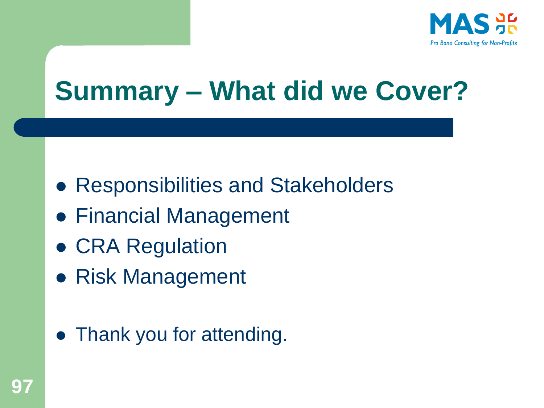

## **Summary – What did we Cover?**

- ⚫ Responsibilities and Stakeholders
- Financial Management
- ⚫ CRA Regulation
- ⚫ Risk Management
- Thank you for attending.